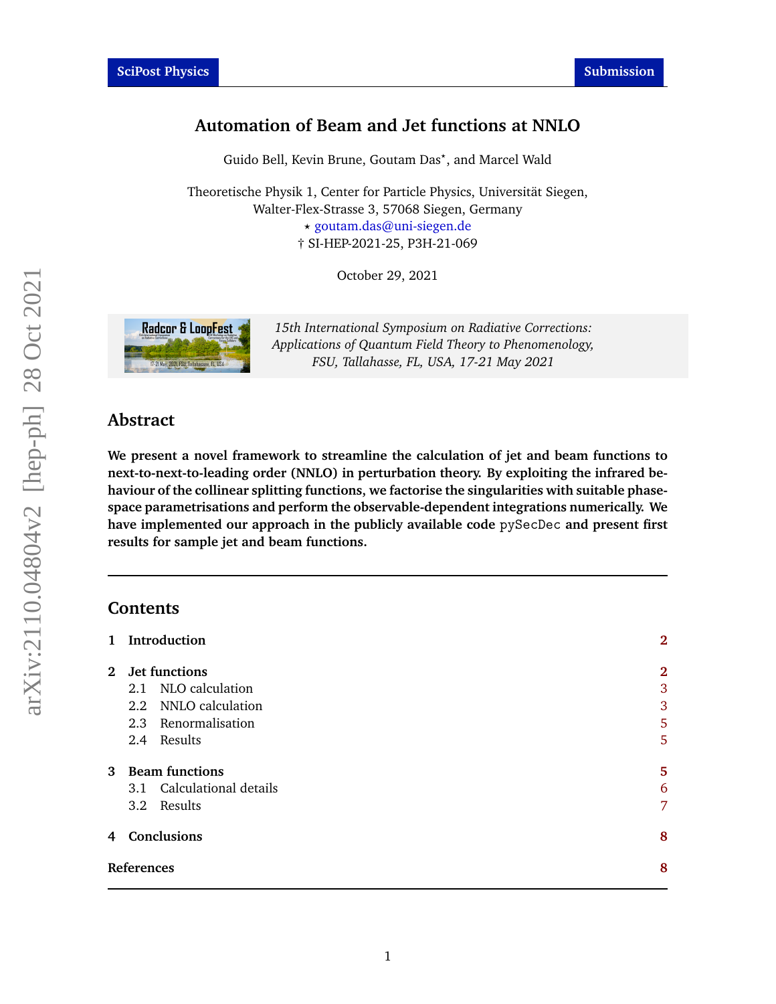# **Automation of Beam and Jet functions at NNLO**

Guido Bell, Kevin Brune, Goutam Das*?* , and Marcel Wald

Theoretische Physik 1, Center for Particle Physics, Universität Siegen, Walter-Flex-Strasse 3, 57068 Siegen, Germany *?* [goutam.das@uni-siegen.de](mailto:goutam.das@uni-siegen.de) † SI-HEP-2021-25, P3H-21-069

October 29, 2021



*15th International Symposium on Radiative Corrections: Applications of Quantum Field Theory to Phenomenology, FSU, Tallahasse, FL, USA, 17-21 May 2021*

## **Abstract**

**We present a novel framework to streamline the calculation of jet and beam functions to next-to-next-to-leading order (NNLO) in perturbation theory. By exploiting the infrared behaviour of the collinear splitting functions, we factorise the singularities with suitable phasespace parametrisations and perform the observable-dependent integrations numerically. We have implemented our approach in the publicly available code** pySecDec **and present first results for sample jet and beam functions.**

### **Contents**

| 1 Introduction            | $\overline{2}$ |
|---------------------------|----------------|
| 2 Jet functions           | $\overline{2}$ |
| 2.1 NLO calculation       | 3              |
| 2.2 NNLO calculation      | 3              |
| 2.3 Renormalisation       | 5              |
| 2.4 Results               | 5              |
| 3 Beam functions          | 5              |
| 3.1 Calculational details | 6              |
| 3.2 Results               | 7              |
| 4 Conclusions             | 8              |
| References                | 8              |
|                           |                |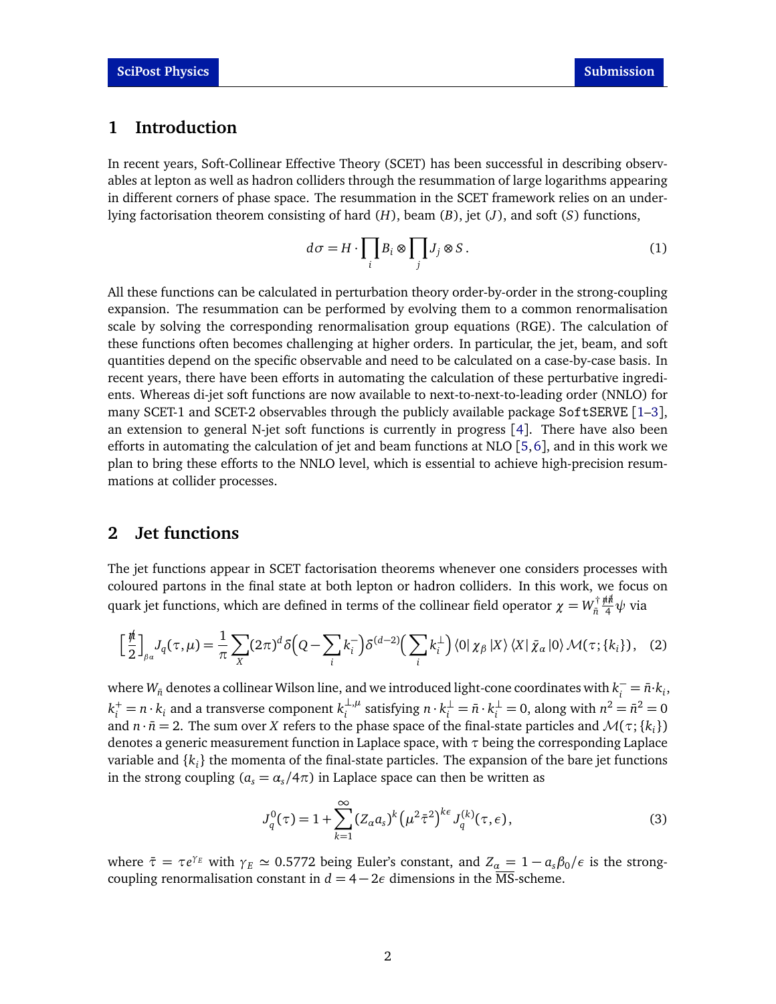## <span id="page-1-0"></span>**1 Introduction**

In recent years, Soft-Collinear Effective Theory (SCET) has been successful in describing observables at lepton as well as hadron colliders through the resummation of large logarithms appearing in different corners of phase space. The resummation in the SCET framework relies on an underlying factorisation theorem consisting of hard (*H*), beam (*B*), jet (*J*), and soft (*S*) functions,

$$
d\sigma = H \cdot \prod_i B_i \otimes \prod_j J_j \otimes S \,. \tag{1}
$$

All these functions can be calculated in perturbation theory order-by-order in the strong-coupling expansion. The resummation can be performed by evolving them to a common renormalisation scale by solving the corresponding renormalisation group equations (RGE). The calculation of these functions often becomes challenging at higher orders. In particular, the jet, beam, and soft quantities depend on the specific observable and need to be calculated on a case-by-case basis. In recent years, there have been efforts in automating the calculation of these perturbative ingredients. Whereas di-jet soft functions are now available to next-to-next-to-leading order (NNLO) for many SCET-1 and SCET-2 observables through the publicly available package SoftSERVE [[1–](#page-7-2)[3](#page-7-3)], an extension to general N-jet soft functions is currently in progress [[4](#page-7-4)]. There have also been efforts in automating the calculation of jet and beam functions at NLO  $[5, 6]$  $[5, 6]$  $[5, 6]$  $[5, 6]$  $[5, 6]$ , and in this work we plan to bring these efforts to the NNLO level, which is essential to achieve high-precision resummations at collider processes.

## <span id="page-1-1"></span>**2 Jet functions**

The jet functions appear in SCET factorisation theorems whenever one considers processes with coloured partons in the final state at both lepton or hadron colliders. In this work, we focus on quark jet functions, which are defined in terms of the collinear field operator  $\chi = W^{\dagger}_{\bar{n}}$ *n*¯ *n/n/*¯ <sup>4</sup> *ψ* via

$$
\left[\frac{\text{i}\hbar}{2}\right]_{\beta\alpha}J_q(\tau,\mu) = \frac{1}{\pi}\sum_{X}(2\pi)^d\delta\left(Q - \sum_{i}k_i^-\right)\delta^{(d-2)}\left(\sum_{i}k_i^{\perp}\right)\langle 0|\,\chi_{\beta}\,|X\rangle\,\langle X|\,\bar{\chi}_{\alpha}\,|0\rangle\,\mathcal{M}(\tau;\{k_i\}),\tag{2}
$$

where  $W_{\bar{n}}$  denotes a collinear Wilson line, and we introduced light-cone coordinates with  $k_i^-=\bar{n}\cdot k_i$ ,  $k_i^+ = n \cdot k_i$  and a transverse component  $k_i^{\perp,\mu}$  $\sum_{i}^{\perp,\mu}$  satisfying *n* ⋅  $k_i^{\perp} = \bar{n} \cdot k_i^{\perp} = 0$ , along with  $n^2 = \bar{n}^2 = 0$ and  $n \cdot \bar{n} = 2$ . The sum over *X* refers to the phase space of the final-state particles and  $\mathcal{M}(\tau; \{k_i\})$ denotes a generic measurement function in Laplace space, with *τ* being the corresponding Laplace variable and {*k<sup>i</sup>* } the momenta of the final-state particles. The expansion of the bare jet functions in the strong coupling ( $a_s = \alpha_s / 4\pi$ ) in Laplace space can then be written as

<span id="page-1-3"></span><span id="page-1-2"></span>
$$
J_q^0(\tau) = 1 + \sum_{k=1}^{\infty} (Z_\alpha a_s)^k \left(\mu^2 \bar{\tau}^2\right)^{k\epsilon} J_q^{(k)}(\tau, \epsilon), \tag{3}
$$

where  $\bar{\tau} = \tau e^{\gamma_E}$  with  $\gamma_E \simeq 0.5772$  being Euler's constant, and  $Z_\alpha = 1 - a_s \beta_0 / \epsilon$  is the strongcoupling renormalisation constant in  $d = 4 - 2\epsilon$  dimensions in the  $\overline{\text{MS}}$ -scheme.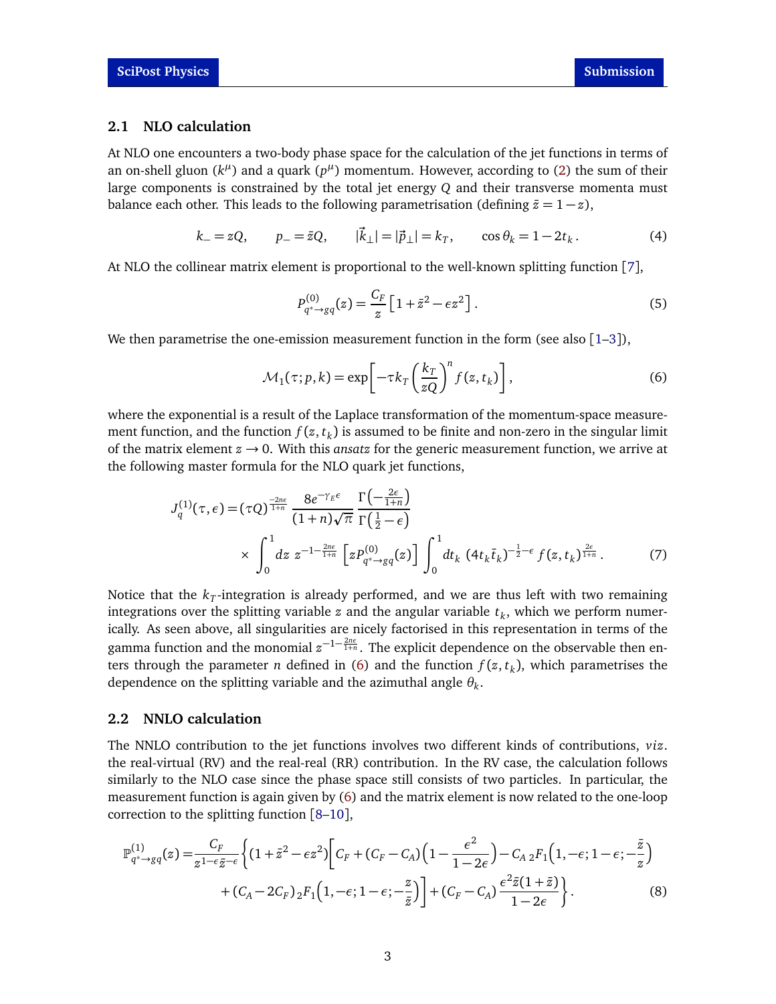#### <span id="page-2-0"></span>**2.1 NLO calculation**

At NLO one encounters a two-body phase space for the calculation of the jet functions in terms of an on-shell gluon  $(k^{\mu})$  and a quark  $(p^{\mu})$  momentum. However, according to [\(2\)](#page-1-2) the sum of their large components is constrained by the total jet energy *Q* and their transverse momenta must balance each other. This leads to the following parametrisation (defining  $\bar{z}=1-z$ ),

$$
k_{-} = zQ,
$$
  $p_{-} = \bar{z}Q,$   $|\vec{k}_{\perp}| = |\vec{p}_{\perp}| = k_{T},$   $\cos \theta_{k} = 1 - 2t_{k}.$  (4)

At NLO the collinear matrix element is proportional to the well-known splitting function [[7](#page-8-1)],

<span id="page-2-2"></span>
$$
P_{q^* \to gq}^{(0)}(z) = \frac{C_F}{z} \left[ 1 + \bar{z}^2 - \epsilon z^2 \right].
$$
 (5)

We then parametrise the one-emission measurement function in the form (see also  $[1-3]$  $[1-3]$  $[1-3]$ ),

$$
\mathcal{M}_1(\tau; p, k) = \exp\left[-\tau k_T \left(\frac{k_T}{zQ}\right)^n f(z, t_k)\right],\tag{6}
$$

where the exponential is a result of the Laplace transformation of the momentum-space measurement function, and the function  $f(z,t_k)$  is assumed to be finite and non-zero in the singular limit of the matrix element  $z \rightarrow 0$ . With this *ansatz* for the generic measurement function, we arrive at the following master formula for the NLO quark jet functions,

$$
J_q^{(1)}(\tau,\epsilon) = (\tau Q)^{\frac{-2n\epsilon}{1+n}} \frac{8e^{-\gamma_E \epsilon}}{(1+n)\sqrt{\pi}} \frac{\Gamma(-\frac{2\epsilon}{1+n})}{\Gamma(\frac{1}{2}-\epsilon)} \times \int_0^1 dz \ z^{-1-\frac{2n\epsilon}{1+n}} \left[ z P_{q^* \to gq}^{(0)}(z) \right] \int_0^1 dt_k \ (4t_k \bar{t}_k)^{-\frac{1}{2}-\epsilon} f(z,t_k)^{\frac{2\epsilon}{1+n}}. \tag{7}
$$

Notice that the  $k_{\scriptstyle T}$ -integration is already performed, and we are thus left with two remaining integrations over the splitting variable *z* and the angular variable *t<sup>k</sup>* , which we perform numerically. As seen above, all singularities are nicely factorised in this representation in terms of the gamma function and the monomial  $z^{-1-\frac{2n\epsilon}{1+n}}$ . The explicit dependence on the observable then enters through the parameter *n* defined in [\(6\)](#page-2-2) and the function *f* (*z*, *t<sup>k</sup>* ), which parametrises the dependence on the splitting variable and the azimuthal angle *θ<sup>k</sup>* .

#### <span id="page-2-1"></span>**2.2 NNLO calculation**

The NNLO contribution to the jet functions involves two different kinds of contributions, *viz*. the real-virtual (RV) and the real-real (RR) contribution. In the RV case, the calculation follows similarly to the NLO case since the phase space still consists of two particles. In particular, the measurement function is again given by [\(6\)](#page-2-2) and the matrix element is now related to the one-loop correction to the splitting function [[8–](#page-8-2)[10](#page-8-3)],

$$
\mathbb{P}_{q^* \to gq}^{(1)}(z) = \frac{C_F}{z^{1-\epsilon}\bar{z}^{-\epsilon}} \left\{ (1+\bar{z}^2 - \epsilon z^2) \left[ C_F + (C_F - C_A) \left( 1 - \frac{\epsilon^2}{1-2\epsilon} \right) - C_{A2} F_1 \left( 1, -\epsilon; 1-\epsilon; -\frac{\bar{z}}{z} \right) \right. \right. \\ \left. + (C_A - 2C_F) \, {}_2F_1 \left( 1, -\epsilon; 1-\epsilon; -\frac{z}{\bar{z}} \right) \right\} + (C_F - C_A) \frac{\epsilon^2 \bar{z} (1+\bar{z})}{1-2\epsilon} \right\} . \tag{8}
$$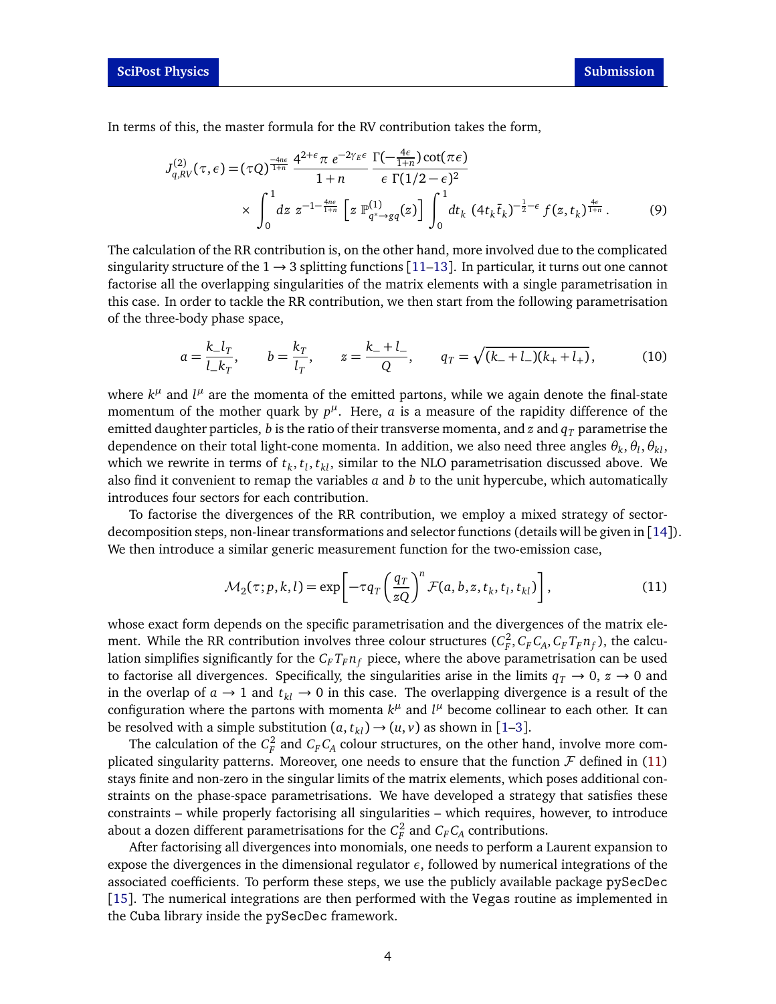In terms of this, the master formula for the RV contribution takes the form,

$$
J_{q,RV}^{(2)}(\tau, \epsilon) = (\tau Q)^{\frac{-4n\epsilon}{1+n}} \frac{4^{2+\epsilon} \pi \ e^{-2\gamma_E \epsilon}}{1+n} \frac{\Gamma(-\frac{4\epsilon}{1+n}) \cot(\pi \epsilon)}{\epsilon \Gamma(1/2 - \epsilon)^2} \times \int_0^1 dz \ z^{-1-\frac{4n\epsilon}{1+n}} \left[ z \ \mathbb{P}_{q^* \to gq}^{(1)}(z) \right] \int_0^1 dt_k \ (4t_k \bar{t}_k)^{-\frac{1}{2}-\epsilon} f(z, t_k)^{\frac{4\epsilon}{1+n}}. \tag{9}
$$

The calculation of the RR contribution is, on the other hand, more involved due to the complicated singularity structure of the  $1 \rightarrow 3$  splitting functions [[11–](#page-8-4)[13](#page-8-5)]. In particular, it turns out one cannot factorise all the overlapping singularities of the matrix elements with a single parametrisation in this case. In order to tackle the RR contribution, we then start from the following parametrisation of the three-body phase space,

$$
a = \frac{k_{-}l_{T}}{l_{-}k_{T}}, \qquad b = \frac{k_{T}}{l_{T}}, \qquad z = \frac{k_{-} + l_{-}}{Q}, \qquad q_{T} = \sqrt{(k_{-} + l_{-})(k_{+} + l_{+})}, \tag{10}
$$

where  $k^{\mu}$  and  $l^{\mu}$  are the momenta of the emitted partons, while we again denote the final-state momentum of the mother quark by  $p^{\mu}$ . Here, *a* is a measure of the rapidity difference of the emitted daughter particles, *b* is the ratio of their transverse momenta, and *z* and  $q<sub>T</sub>$  parametrise the dependence on their total light-cone momenta. In addition, we also need three angles  $\theta_k$ ,  $\theta_l$ ,  $\theta_{kl}$ , which we rewrite in terms of  $t_k, t_l, t_{kl}$ , similar to the NLO parametrisation discussed above. We also find it convenient to remap the variables *a* and *b* to the unit hypercube, which automatically introduces four sectors for each contribution.

To factorise the divergences of the RR contribution, we employ a mixed strategy of sectordecomposition steps, non-linear transformations and selector functions (details will be given in [[14](#page-8-6)]). We then introduce a similar generic measurement function for the two-emission case,

<span id="page-3-0"></span>
$$
\mathcal{M}_2(\tau;p,k,l) = \exp\left[-\tau q_T \left(\frac{q_T}{zQ}\right)^n \mathcal{F}(a,b,z,t_k,t_l,t_{kl})\right],\tag{11}
$$

whose exact form depends on the specific parametrisation and the divergences of the matrix element. While the RR contribution involves three colour structures  $(C_F^2, C_F C_A, C_F T_F n_f)$ , the calculation simplifies significantly for the  $C_F T_F n_f$  piece, where the above parametrisation can be used to factorise all divergences. Specifically, the singularities arise in the limits  $q_T \rightarrow 0$ ,  $z \rightarrow 0$  and in the overlap of  $a \rightarrow 1$  and  $t_{kl} \rightarrow 0$  in this case. The overlapping divergence is a result of the configuration where the partons with momenta  $k^{\mu}$  and  $l^{\mu}$  become collinear to each other. It can be resolved with a simple substitution  $(a, t_{kl}) \rightarrow (u, v)$  as shown in [[1](#page-7-2)[–3](#page-7-3)].

The calculation of the  $C_F^2$  and  $C_F C_A$  colour structures, on the other hand, involve more complicated singularity patterns. Moreover, one needs to ensure that the function  $\mathcal F$  defined in [\(11\)](#page-3-0) stays finite and non-zero in the singular limits of the matrix elements, which poses additional constraints on the phase-space parametrisations. We have developed a strategy that satisfies these constraints – while properly factorising all singularities – which requires, however, to introduce about a dozen different parametrisations for the  $C_F^2$  and  $C_F C_A$  contributions.

After factorising all divergences into monomials, one needs to perform a Laurent expansion to expose the divergences in the dimensional regulator *ε*, followed by numerical integrations of the associated coefficients. To perform these steps, we use the publicly available package pySecDec [[15](#page-8-7)]. The numerical integrations are then performed with the Vegas routine as implemented in the Cuba library inside the pySecDec framework.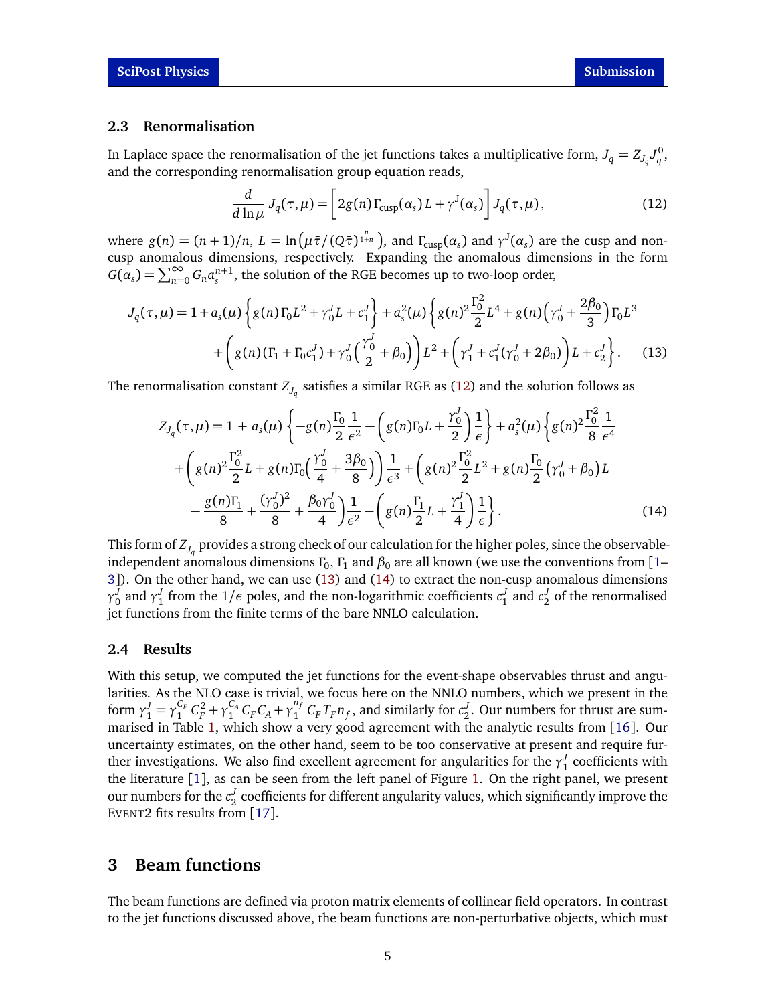#### <span id="page-4-0"></span>**2.3 Renormalisation**

In Laplace space the renormalisation of the jet functions takes a multiplicative form,  $J_q = Z_{J_q} J_q^0$ , and the corresponding renormalisation group equation reads,

<span id="page-4-4"></span><span id="page-4-3"></span>
$$
\frac{d}{d\ln\mu}J_q(\tau,\mu) = \left[2g(n)\Gamma_{\text{cusp}}(\alpha_s)L + \gamma^J(\alpha_s)\right]J_q(\tau,\mu),\tag{12}
$$

where  $g(n) = (n+1)/n$ ,  $L = \ln(\mu \bar{\tau}/(Q \bar{\tau})^{\frac{n}{1+n}})$ , and  $\Gamma_{\text{cusp}}(\alpha_s)$  and  $\gamma^J(\alpha_s)$  are the cusp and noncusp anomalous dimensions, respectively. Expanding the anomalous dimensions in the form  $G(\alpha_s) = \sum_{n=0}^{\infty} G_n a_s^{n+1}$ , the solution of the RGE becomes up to two-loop order,

$$
J_q(\tau,\mu) = 1 + a_s(\mu) \left\{ g(n) \Gamma_0 L^2 + \gamma_0^J L + c_1^J \right\} + a_s^2(\mu) \left\{ g(n)^2 \frac{\Gamma_0^2}{2} L^4 + g(n) \left( \gamma_0^J + \frac{2\beta_0}{3} \right) \Gamma_0 L^3 + \left( g(n) \left( \Gamma_1 + \Gamma_0 c_1^J \right) + \gamma_0^J \left( \frac{\gamma_0^J}{2} + \beta_0 \right) \right) L^2 + \left( \gamma_1^J + c_1^J (\gamma_0^J + 2\beta_0) \right) L + c_2^J \right\}.
$$
 (13)

The renormalisation constant  $Z_{J_q}$  satisfies a similar RGE as [\(12\)](#page-4-3) and the solution follows as

<span id="page-4-5"></span>
$$
Z_{J_q}(\tau,\mu) = 1 + a_s(\mu) \left\{ -g(n) \frac{\Gamma_0}{2} \frac{1}{\epsilon^2} - \left( g(n) \Gamma_0 L + \frac{\gamma_0^J}{2} \right) \frac{1}{\epsilon} \right\} + a_s^2(\mu) \left\{ g(n)^2 \frac{\Gamma_0^2}{8} \frac{1}{\epsilon^4} + \left( g(n)^2 \frac{\Gamma_0^2}{2} L + g(n) \Gamma_0 \left( \frac{\gamma_0^J}{4} + \frac{3\beta_0}{8} \right) \right) \frac{1}{\epsilon^3} + \left( g(n)^2 \frac{\Gamma_0^2}{2} L^2 + g(n) \frac{\Gamma_0}{2} \left( \gamma_0^J + \beta_0 \right) L - \frac{g(n) \Gamma_1}{8} + \frac{(\gamma_0^J)^2}{8} + \frac{\beta_0 \gamma_0^J}{4} \right) \frac{1}{\epsilon^2} - \left( g(n) \frac{\Gamma_1}{2} L + \frac{\gamma_1^J}{4} \right) \frac{1}{\epsilon} \right\}.
$$
 (14)

This form of  $Z_{J_q}$  provides a strong check of our calculation for the higher poles, since the observableindependent anomalous dimensions  $\Gamma_0$ ,  $\Gamma_1$  and  $\beta_0$  are all known (we use the conventions from [[1–](#page-7-2) [3](#page-7-3)]). On the other hand, we can use [\(13\)](#page-4-4) and [\(14\)](#page-4-5) to extract the non-cusp anomalous dimensions *γ*<sup>*J*</sup><sub>0</sub> and *γ*<sup>*J*</sup><sub>1</sub> from the 1/*ε* poles, and the non-logarithmic coefficients *c*<sup>*J*</sup><sub>1</sub> and *c*<sup>*J*</sup><sub>2</sub> of the renormalised jet functions from the finite terms of the bare NNLO calculation.

#### <span id="page-4-1"></span>**2.4 Results**

With this setup, we computed the jet functions for the event-shape observables thrust and angularities. As the NLO case is trivial, we focus here on the NNLO numbers, which we present in the form  $\gamma_1^J = \gamma_1^{C_F}$  $C_F^C + C_F^2 + \gamma_1^{C_A}$  $C_A C_F C_A + \gamma_1^{n_f}$  $\int_1^{n_f} C_F T_F n_f$ , and similarly for  $c_2^J$ . Our numbers for thrust are summarised in Table [1,](#page-5-1) which show a very good agreement with the analytic results from [[16](#page-8-8)]. Our uncertainty estimates, on the other hand, seem to be too conservative at present and require further investigations. We also find excellent agreement for angularities for the  $\gamma_1^J$  coefficients with the literature [[1](#page-7-2)], as can be seen from the left panel of Figure [1.](#page-5-2) On the right panel, we present our numbers for the  $c_2^J$  coefficients for different angularity values, which significantly improve the EVENT2 fits results from [[17](#page-8-9)].

## <span id="page-4-2"></span>**3 Beam functions**

The beam functions are defined via proton matrix elements of collinear field operators. In contrast to the jet functions discussed above, the beam functions are non-perturbative objects, which must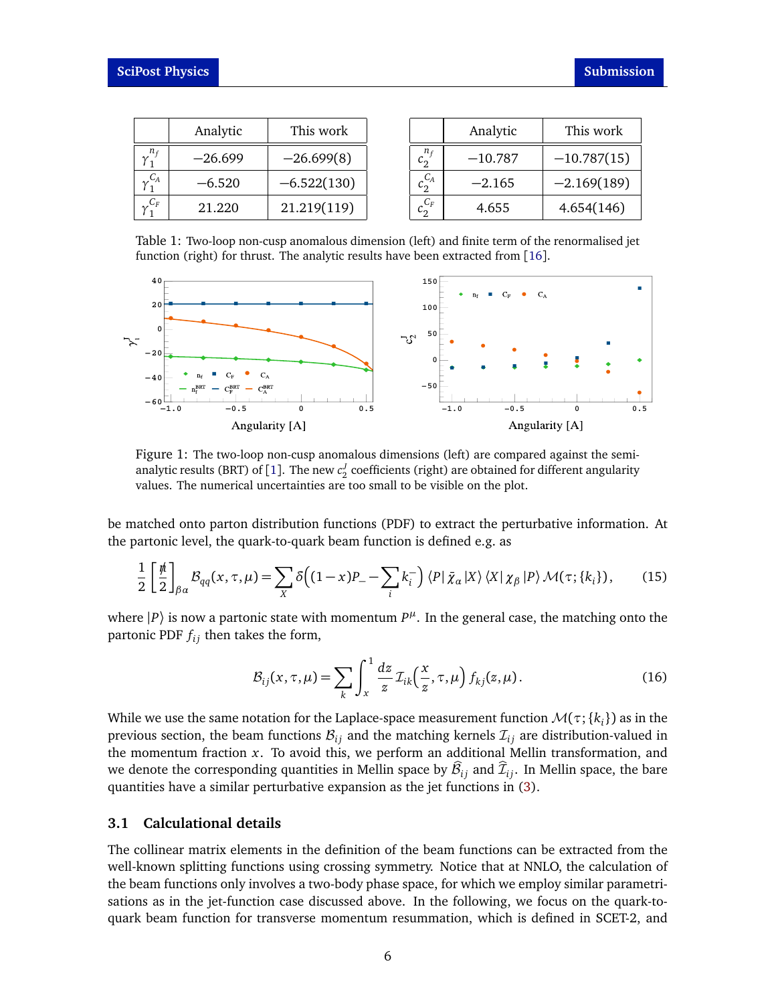<span id="page-5-1"></span>

|       | Analytic  | This work     |
|-------|-----------|---------------|
|       | $-26.699$ | $-26.699(8)$  |
| $C_A$ | $-6.520$  | $-6.522(130)$ |
|       | 21.220    | 21.219(119)   |

|             | Analytic  | This work     |
|-------------|-----------|---------------|
| $c_2^{n_f}$ | $-10.787$ | $-10.787(15)$ |
| $c_2^{C_A}$ | $-2.165$  | $-2.169(189)$ |
| $C_F$       | 4.655     | 4.654(146)    |

Table 1: Two-loop non-cusp anomalous dimension (left) and finite term of the renormalised jet function (right) for thrust. The analytic results have been extracted from [[16](#page-8-8)].

<span id="page-5-2"></span>

Figure 1: The two-loop non-cusp anomalous dimensions (left) are compared against the semi-analytic results (BRT) of [[1](#page-7-2)]. The new  $c_2^J$  coefficients (right) are obtained for different angularity values. The numerical uncertainties are too small to be visible on the plot.

be matched onto parton distribution functions (PDF) to extract the perturbative information. At the partonic level, the quark-to-quark beam function is defined e.g. as

$$
\frac{1}{2} \left[ \frac{\rlap{\,/}\mu}{2} \right]_{\beta\alpha} \mathcal{B}_{qq}(x,\tau,\mu) = \sum_{X} \delta\bigg( (1-x)P_- - \sum_i k_i^- \bigg) \langle P | \bar{\chi}_\alpha | X \rangle \langle X | \chi_\beta | P \rangle \mathcal{M}(\tau; \{k_i\}), \tag{15}
$$

where  $|P\rangle$  is now a partonic state with momentum  $P^{\mu}$ . In the general case, the matching onto the partonic PDF *f i j* then takes the form,

$$
\mathcal{B}_{ij}(x,\tau,\mu) = \sum_{k} \int_{x}^{1} \frac{dz}{z} \mathcal{I}_{ik}\left(\frac{x}{z},\tau,\mu\right) f_{kj}(z,\mu). \tag{16}
$$

While we use the same notation for the Laplace-space measurement function  $\mathcal{M}(\tau;\{k_i\})$  as in the previous section, the beam functions  $B_{ij}$  and the matching kernels  $\mathcal{I}_{ij}$  are distribution-valued in the momentum fraction *x*. To avoid this, we perform an additional Mellin transformation, and we denote the corresponding quantities in Mellin space by  $\mathcal{B}_{ij}$  and  $\mathcal{I}_{ij}$ . In Mellin space, the bare quantities have a similar perturbative expansion as the jet functions in [\(3\)](#page-1-3).

#### <span id="page-5-0"></span>**3.1 Calculational details**

The collinear matrix elements in the definition of the beam functions can be extracted from the well-known splitting functions using crossing symmetry. Notice that at NNLO, the calculation of the beam functions only involves a two-body phase space, for which we employ similar parametrisations as in the jet-function case discussed above. In the following, we focus on the quark-toquark beam function for transverse momentum resummation, which is defined in SCET-2, and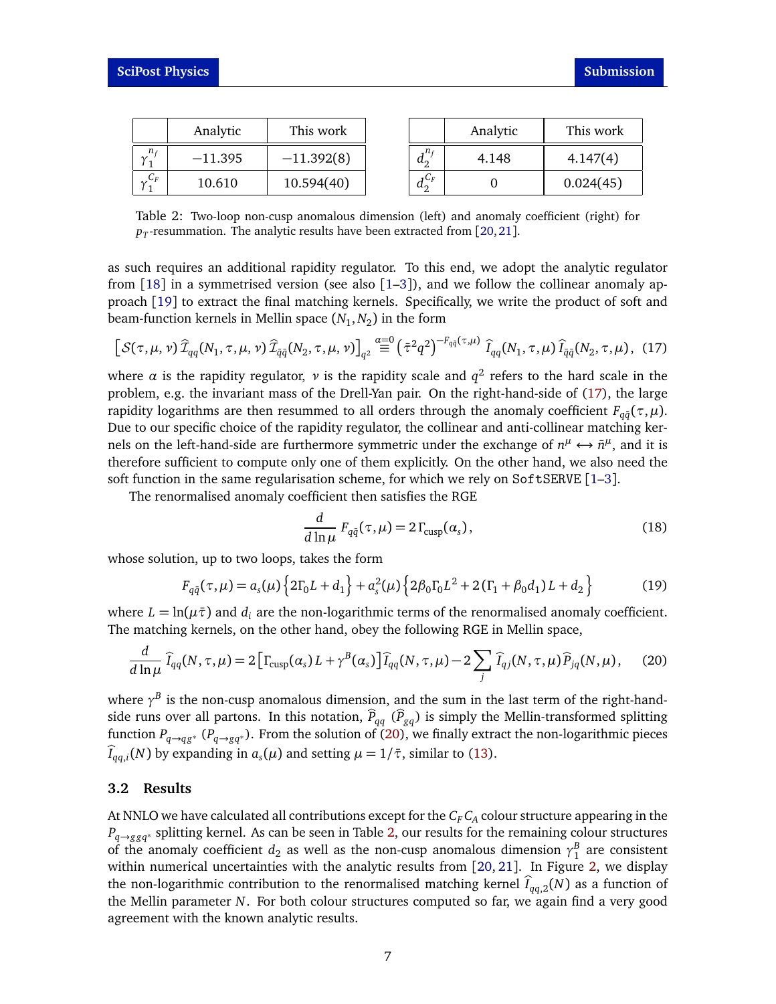<span id="page-6-3"></span>

|                 | Analytic  | This work    |                            | Analytic | This work |
|-----------------|-----------|--------------|----------------------------|----------|-----------|
| $n_f$<br>$\sim$ | $-11.395$ | $-11.392(8)$ | $\cdot$ n $\epsilon$<br>a, | 4.148    | 4.147(4)  |
| $\mathcal{C}_F$ | 10.610    | 10.594(40)   | 」しF<br>a.                  |          | 0.024(45) |

Table 2: Two-loop non-cusp anomalous dimension (left) and anomaly coefficient (right) for  $p_T$ -resummation. The analytic results have been extracted from [[20,](#page-8-10)[21](#page-9-0)].

as such requires an additional rapidity regulator. To this end, we adopt the analytic regulator from  $[18]$  $[18]$  $[18]$  in a symmetrised version (see also  $[1-3]$  $[1-3]$  $[1-3]$ ), and we follow the collinear anomaly approach [[19](#page-8-12)] to extract the final matching kernels. Specifically, we write the product of soft and beam-function kernels in Mellin space (*N*<sup>1</sup> ,*N*<sup>2</sup> ) in the form

$$
\left[\mathcal{S}(\tau,\mu,\nu)\,\widehat{\mathcal{I}}_{qq}(N_1,\tau,\mu,\nu)\,\widehat{\mathcal{I}}_{\bar{q}\bar{q}}(N_2,\tau,\mu,\nu)\right]_{q^2} \stackrel{\alpha=0}{\equiv} \left(\bar{\tau}^2 q^2\right)^{-F_{q\bar{q}}(\tau,\mu)}\,\widehat{I}_{qq}(N_1,\tau,\mu)\,\widehat{I}_{\bar{q}\bar{q}}(N_2,\tau,\mu),\tag{17}
$$

where  $\alpha$  is the rapidity regulator,  $\nu$  is the rapidity scale and  $q^2$  refers to the hard scale in the problem, e.g. the invariant mass of the Drell-Yan pair. On the right-hand-side of [\(17\)](#page-6-1), the large rapidity logarithms are then resummed to all orders through the anomaly coefficient  $F_{q\bar{q}}(\tau,\mu)$ . Due to our specific choice of the rapidity regulator, the collinear and anti-collinear matching kernels on the left-hand-side are furthermore symmetric under the exchange of  $n^{\mu} \leftrightarrow \bar{n}^{\mu}$ , and it is therefore sufficient to compute only one of them explicitly. On the other hand, we also need the soft function in the same regularisation scheme, for which we rely on  $SoftSERVE$  [[1–](#page-7-2)[3](#page-7-3)].

The renormalised anomaly coefficient then satisfies the RGE

<span id="page-6-2"></span><span id="page-6-1"></span>
$$
\frac{d}{d\ln\mu} F_{q\bar{q}}(\tau,\mu) = 2\Gamma_{\text{cusp}}(\alpha_s),\tag{18}
$$

whose solution, up to two loops, takes the form

$$
F_{q\bar{q}}(\tau,\mu) = a_s(\mu) \left\{ 2\Gamma_0 L + d_1 \right\} + a_s^2(\mu) \left\{ 2\beta_0 \Gamma_0 L^2 + 2(\Gamma_1 + \beta_0 d_1) L + d_2 \right\}
$$
(19)

where  $L = \ln(\mu \bar{\tau})$  and  $d_i$  are the non-logarithmic terms of the renormalised anomaly coefficient. The matching kernels, on the other hand, obey the following RGE in Mellin space,

$$
\frac{d}{d\ln\mu}\,\widehat{I}_{qq}(N,\tau,\mu) = 2\big[\Gamma_{\text{cusp}}(\alpha_s)L + \gamma^B(\alpha_s)\big]\widehat{I}_{qq}(N,\tau,\mu) - 2\sum_j\,\widehat{I}_{qj}(N,\tau,\mu)\widehat{P}_{jq}(N,\mu),\tag{20}
$$

where  $\gamma^B$  is the non-cusp anomalous dimension, and the sum in the last term of the right-handside runs over all partons. In this notation,  $\hat{P}_{qq}$  ( $\hat{P}_{gq}$ ) is simply the Mellin-transformed splitting function  $P_{q\to qg^*}$  ( $P_{q\to gq^*}$ ). From the solution of [\(20\)](#page-6-2), we finally extract the non-logarithmic pieces  $I_{qq,i}(N)$  by expanding in  $a_s(\mu)$  and setting  $\mu = 1/\bar{\tau}$ , similar to [\(13\)](#page-4-4).

#### <span id="page-6-0"></span>**3.2 Results**

At NNLO we have calculated all contributions except for the  $C_F C_A$  colour structure appearing in the *P*<sub>*q*→*ggq*<sup>∗</sup> splitting kernel. As can be seen in Table [2,](#page-6-3) our results for the remaining colour structures</sub> of the anomaly coefficient  $d_2$  as well as the non-cusp anomalous dimension  $\gamma_1^B$  are consistent within numerical uncertainties with the analytic results from [[20,](#page-8-10) [21](#page-9-0)]. In Figure [2,](#page-7-6) we display the non-logarithmic contribution to the renormalised matching kernel  $\hat{I}_{qa,2}(N)$  as a function of the Mellin parameter *N*. For both colour structures computed so far, we again find a very good agreement with the known analytic results.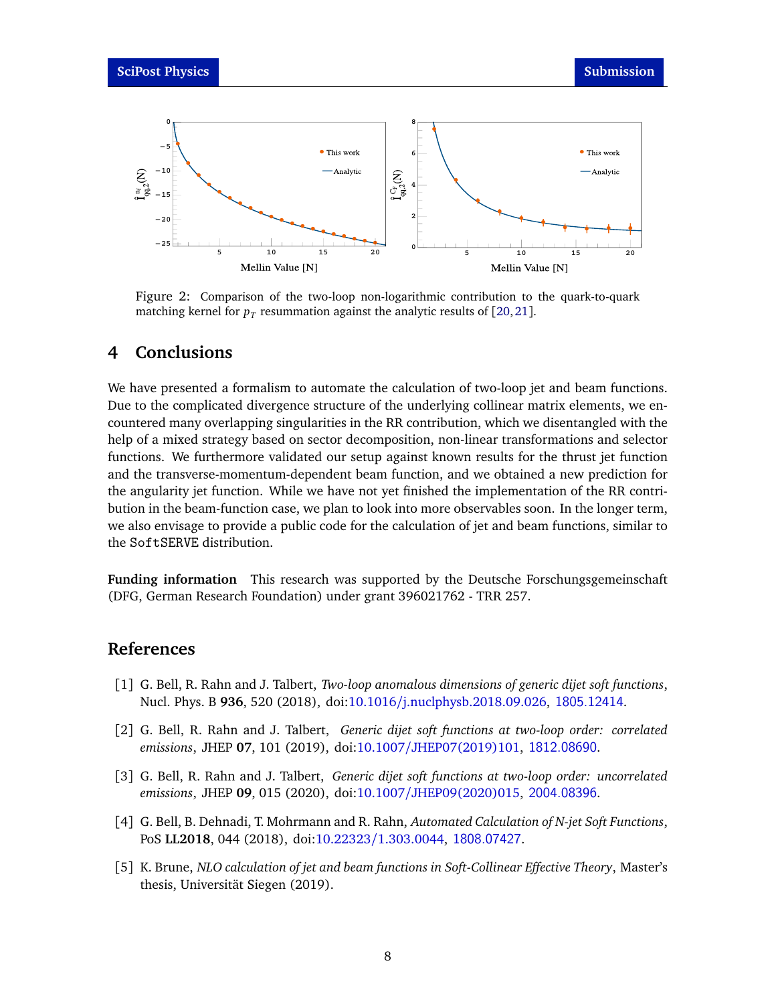<span id="page-7-6"></span>

Figure 2: Comparison of the two-loop non-logarithmic contribution to the quark-to-quark matching kernel for  $p_T$  resummation against the analytic results of [[20,](#page-8-10) [21](#page-9-0)].

### <span id="page-7-0"></span>**4 Conclusions**

We have presented a formalism to automate the calculation of two-loop jet and beam functions. Due to the complicated divergence structure of the underlying collinear matrix elements, we encountered many overlapping singularities in the RR contribution, which we disentangled with the help of a mixed strategy based on sector decomposition, non-linear transformations and selector functions. We furthermore validated our setup against known results for the thrust jet function and the transverse-momentum-dependent beam function, and we obtained a new prediction for the angularity jet function. While we have not yet finished the implementation of the RR contribution in the beam-function case, we plan to look into more observables soon. In the longer term, we also envisage to provide a public code for the calculation of jet and beam functions, similar to the SoftSERVE distribution.

<span id="page-7-1"></span>**Funding information** This research was supported by the Deutsche Forschungsgemeinschaft (DFG, German Research Foundation) under grant 396021762 - TRR 257.

### **References**

- <span id="page-7-2"></span>[1] G. Bell, R. Rahn and J. Talbert, *Two-loop anomalous dimensions of generic dijet soft functions*, Nucl. Phys. B **936**, 520 (2018), doi:10.1016/[j.nuclphysb.2018.09.026,](https://doi.org/10.1016/j.nuclphysb.2018.09.026) <1805.12414>.
- [2] G. Bell, R. Rahn and J. Talbert, *Generic dijet soft functions at two-loop order: correlated emissions*, JHEP **07**, 101 (2019), doi:10.1007/[JHEP07\(2019\)101,](https://doi.org/10.1007/JHEP07(2019)101) <1812.08690>.
- <span id="page-7-3"></span>[3] G. Bell, R. Rahn and J. Talbert, *Generic dijet soft functions at two-loop order: uncorrelated emissions*, JHEP **09**, 015 (2020), doi:10.1007/[JHEP09\(2020\)015,](https://doi.org/10.1007/JHEP09(2020)015) <2004.08396>.
- <span id="page-7-4"></span>[4] G. Bell, B. Dehnadi, T. Mohrmann and R. Rahn, *Automated Calculation of N-jet Soft Functions*, PoS **LL2018**, 044 (2018), doi:10.22323/[1.303.0044,](https://doi.org/10.22323/1.303.0044) <1808.07427>.
- <span id="page-7-5"></span>[5] K. Brune, *NLO calculation of jet and beam functions in Soft-Collinear Effective Theory*, Master's thesis, Universität Siegen (2019).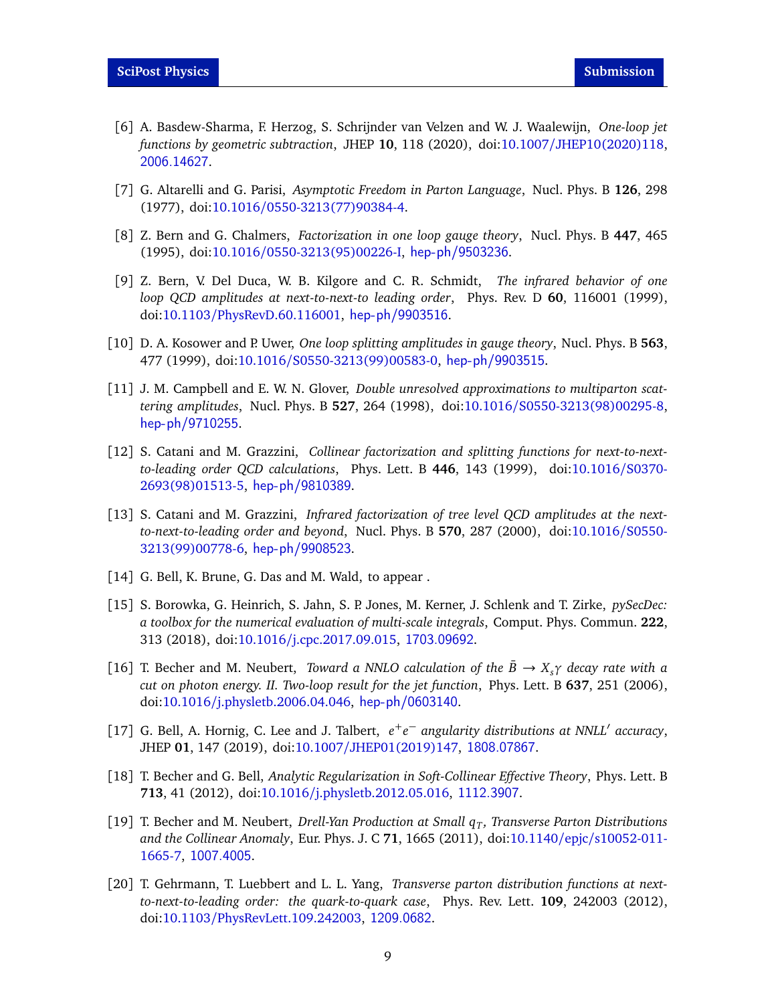- <span id="page-8-0"></span>[6] A. Basdew-Sharma, F. Herzog, S. Schrijnder van Velzen and W. J. Waalewijn, *One-loop jet functions by geometric subtraction*, JHEP **10**, 118 (2020), doi:10.1007/[JHEP10\(2020\)118,](https://doi.org/10.1007/JHEP10(2020)118) <2006.14627>.
- <span id="page-8-1"></span>[7] G. Altarelli and G. Parisi, *Asymptotic Freedom in Parton Language*, Nucl. Phys. B **126**, 298 (1977), doi:10.1016/[0550-3213\(77\)90384-4.](https://doi.org/10.1016/0550-3213(77)90384-4)
- <span id="page-8-2"></span>[8] Z. Bern and G. Chalmers, *Factorization in one loop gauge theory*, Nucl. Phys. B **447**, 465 (1995), doi:10.1016/[0550-3213\(95\)00226-I,](https://doi.org/10.1016/0550-3213(95)00226-I) <hep-ph/9503236>.
- [9] Z. Bern, V. Del Duca, W. B. Kilgore and C. R. Schmidt, *The infrared behavior of one loop QCD amplitudes at next-to-next-to leading order*, Phys. Rev. D **60**, 116001 (1999), doi:10.1103/[PhysRevD.60.116001,](https://doi.org/10.1103/PhysRevD.60.116001) <hep-ph/9903516>.
- <span id="page-8-3"></span>[10] D. A. Kosower and P. Uwer, *One loop splitting amplitudes in gauge theory*, Nucl. Phys. B **563**, 477 (1999), doi:10.1016/[S0550-3213\(99\)00583-0,](https://doi.org/10.1016/S0550-3213(99)00583-0) <hep-ph/9903515>.
- <span id="page-8-4"></span>[11] J. M. Campbell and E. W. N. Glover, *Double unresolved approximations to multiparton scattering amplitudes*, Nucl. Phys. B **527**, 264 (1998), doi:10.1016/[S0550-3213\(98\)00295-8,](https://doi.org/10.1016/S0550-3213(98)00295-8) <hep-ph/9710255>.
- [12] S. Catani and M. Grazzini, *Collinear factorization and splitting functions for next-to-nextto-leading order QCD calculations*, Phys. Lett. B **446**, 143 (1999), doi[:10.1016](https://doi.org/10.1016/S0370-2693(98)01513-5)/S0370- [2693\(98\)01513-5,](https://doi.org/10.1016/S0370-2693(98)01513-5) <hep-ph/9810389>.
- <span id="page-8-5"></span>[13] S. Catani and M. Grazzini, *Infrared factorization of tree level QCD amplitudes at the nextto-next-to-leading order and beyond*, Nucl. Phys. B **570**, 287 (2000), doi[:10.1016](https://doi.org/10.1016/S0550-3213(99)00778-6)/S0550- [3213\(99\)00778-6,](https://doi.org/10.1016/S0550-3213(99)00778-6) <hep-ph/9908523>.
- <span id="page-8-6"></span>[14] G. Bell, K. Brune, G. Das and M. Wald, to appear.
- <span id="page-8-7"></span>[15] S. Borowka, G. Heinrich, S. Jahn, S. P. Jones, M. Kerner, J. Schlenk and T. Zirke, *pySecDec: a toolbox for the numerical evaluation of multi-scale integrals*, Comput. Phys. Commun. **222**, 313 (2018), doi:10.1016/[j.cpc.2017.09.015,](https://doi.org/10.1016/j.cpc.2017.09.015) <1703.09692>.
- <span id="page-8-8"></span>[16] T. Becher and M. Neubert, *Toward a NNLO calculation of the*  $\bar{B} \rightarrow X_s \gamma$  *decay rate with a cut on photon energy. II. Two-loop result for the jet function*, Phys. Lett. B **637**, 251 (2006), doi:10.1016/[j.physletb.2006.04.046,](https://doi.org/10.1016/j.physletb.2006.04.046) <hep-ph/0603140>.
- <span id="page-8-9"></span>[17] G. Bell, A. Hornig, C. Lee and J. Talbert,  $e^+e^-$  angularity distributions at NNLL' accuracy, JHEP **01**, 147 (2019), doi:10.1007/[JHEP01\(2019\)147,](https://doi.org/10.1007/JHEP01(2019)147) <1808.07867>.
- <span id="page-8-11"></span>[18] T. Becher and G. Bell, *Analytic Regularization in Soft-Collinear Effective Theory*, Phys. Lett. B **713**, 41 (2012), doi:10.1016/[j.physletb.2012.05.016,](https://doi.org/10.1016/j.physletb.2012.05.016) <1112.3907>.
- <span id="page-8-12"></span>[19] T. Becher and M. Neubert, *Drell-Yan Production at Small q<sup>T</sup> , Transverse Parton Distributions and the Collinear Anomaly*, Eur. Phys. J. C **71**, 1665 (2011), doi:10.1140/epjc/[s10052-011-](https://doi.org/10.1140/epjc/s10052-011-1665-7) [1665-7,](https://doi.org/10.1140/epjc/s10052-011-1665-7) <1007.4005>.
- <span id="page-8-10"></span>[20] T. Gehrmann, T. Luebbert and L. L. Yang, *Transverse parton distribution functions at nextto-next-to-leading order: the quark-to-quark case*, Phys. Rev. Lett. **109**, 242003 (2012), doi:10.1103/[PhysRevLett.109.242003,](https://doi.org/10.1103/PhysRevLett.109.242003) <1209.0682>.